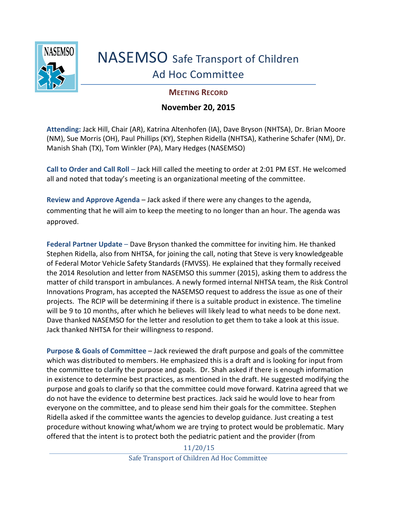

## NASEMSO Safe Transport of Children Ad Hoc Committee

## **MEETING RECORD**

## **November 20, 2015**

**Attending:** Jack Hill, Chair (AR), Katrina Altenhofen (IA), Dave Bryson (NHTSA), Dr. Brian Moore (NM), Sue Morris (OH), Paul Phillips (KY), Stephen Ridella (NHTSA), Katherine Schafer (NM), Dr. Manish Shah (TX), Tom Winkler (PA), Mary Hedges (NASEMSO)

**Call to Order and Call Roll** – Jack Hill called the meeting to order at 2:01 PM EST. He welcomed all and noted that today's meeting is an organizational meeting of the committee.

**Review and Approve Agenda** – Jack asked if there were any changes to the agenda, commenting that he will aim to keep the meeting to no longer than an hour. The agenda was approved.

**Federal Partner Update** – Dave Bryson thanked the committee for inviting him. He thanked Stephen Ridella, also from NHTSA, for joining the call, noting that Steve is very knowledgeable of Federal Motor Vehicle Safety Standards (FMVSS). He explained that they formally received the 2014 Resolution and letter from NASEMSO this summer (2015), asking them to address the matter of child transport in ambulances. A newly formed internal NHTSA team, the Risk Control Innovations Program, has accepted the NASEMSO request to address the issue as one of their projects. The RCIP will be determining if there is a suitable product in existence. The timeline will be 9 to 10 months, after which he believes will likely lead to what needs to be done next. Dave thanked NASEMSO for the letter and resolution to get them to take a look at this issue. Jack thanked NHTSA for their willingness to respond.

**Purpose & Goals of Committee** – Jack reviewed the draft purpose and goals of the committee which was distributed to members. He emphasized this is a draft and is looking for input from the committee to clarify the purpose and goals. Dr. Shah asked if there is enough information in existence to determine best practices, as mentioned in the draft. He suggested modifying the purpose and goals to clarify so that the committee could move forward. Katrina agreed that we do not have the evidence to determine best practices. Jack said he would love to hear from everyone on the committee, and to please send him their goals for the committee. Stephen Ridella asked if the committee wants the agencies to develop guidance. Just creating a test procedure without knowing what/whom we are trying to protect would be problematic. Mary offered that the intent is to protect both the pediatric patient and the provider (from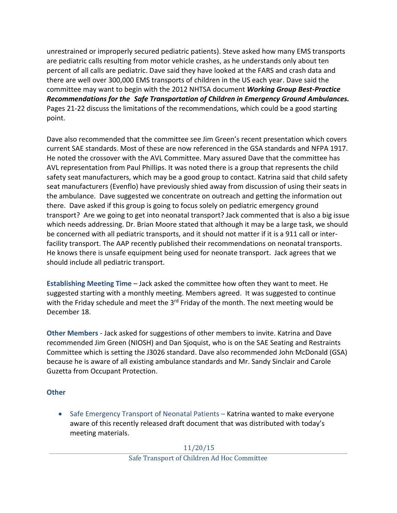unrestrained or improperly secured pediatric patients). Steve asked how many EMS transports are pediatric calls resulting from motor vehicle crashes, as he understands only about ten percent of all calls are pediatric. Dave said they have looked at the FARS and crash data and there are well over 300,000 EMS transports of children in the US each year. Dave said the committee may want to begin with the 2012 NHTSA document *Working Group Best-Practice Recommendations for the Safe Transportation of Children in Emergency Ground Ambulances.* Pages 21-22 discuss the limitations of the recommendations, which could be a good starting point.

Dave also recommended that the committee see Jim Green's recent presentation which covers current SAE standards. Most of these are now referenced in the GSA standards and NFPA 1917. He noted the crossover with the AVL Committee. Mary assured Dave that the committee has AVL representation from Paul Phillips. It was noted there is a group that represents the child safety seat manufacturers, which may be a good group to contact. Katrina said that child safety seat manufacturers (Evenflo) have previously shied away from discussion of using their seats in the ambulance. Dave suggested we concentrate on outreach and getting the information out there. Dave asked if this group is going to focus solely on pediatric emergency ground transport? Are we going to get into neonatal transport? Jack commented that is also a big issue which needs addressing. Dr. Brian Moore stated that although it may be a large task, we should be concerned with all pediatric transports, and it should not matter if it is a 911 call or interfacility transport. The AAP recently published their recommendations on neonatal transports. He knows there is unsafe equipment being used for neonate transport. Jack agrees that we should include all pediatric transport.

**Establishing Meeting Time** – Jack asked the committee how often they want to meet. He suggested starting with a monthly meeting. Members agreed. It was suggested to continue with the Friday schedule and meet the 3<sup>rd</sup> Friday of the month. The next meeting would be December 18.

**Other Members** - Jack asked for suggestions of other members to invite. Katrina and Dave recommended Jim Green (NIOSH) and Dan Sjoquist, who is on the SAE Seating and Restraints Committee which is setting the J3026 standard. Dave also recommended John McDonald (GSA) because he is aware of all existing ambulance standards and Mr. Sandy Sinclair and Carole Guzetta from Occupant Protection.

## **Other**

• Safe Emergency Transport of Neonatal Patients – Katrina wanted to make everyone aware of this recently released draft document that was distributed with today's meeting materials.